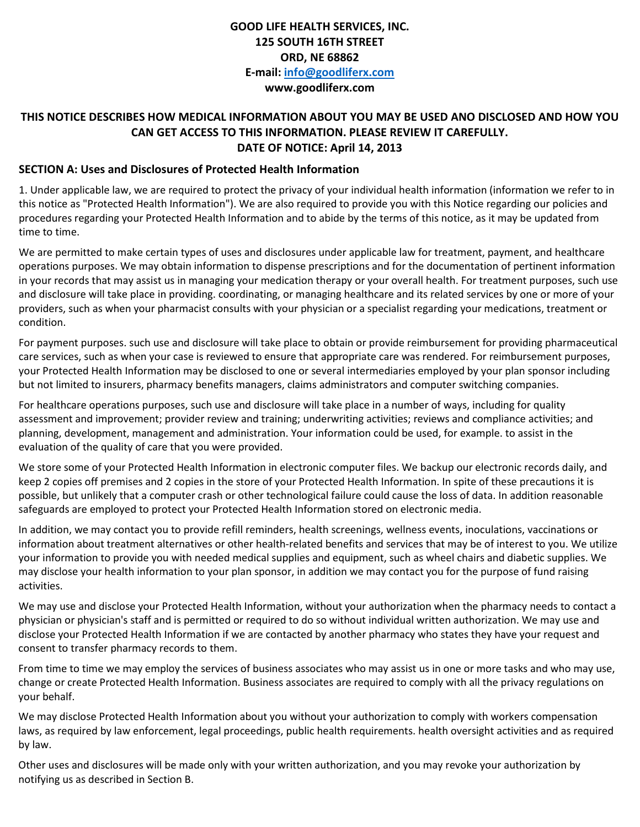## **GOOD LIFE HEALTH SERVICES, INC. 125 SOUTH 16TH STREET ORD, NE 68862 E-mail: [info@goodliferx.com](mailto:info@goodliferx.com) www.goodliferx.com**

## **THIS NOTICE DESCRIBES HOW MEDICAL INFORMATION ABOUT YOU MAY BE USED ANO DISCLOSED AND HOW YOU CAN GET ACCESS TO THIS INFORMATION. PLEASE REVIEW IT CAREFULLY. DATE OF NOTICE: April 14, 2013**

## **SECTION A: Uses and Disclosures of Protected Health Information**

1. Under applicable law, we are required to protect the privacy of your individual health information (information we refer to in this notice as "Protected Health Information"). We are also required to provide you with this Notice regarding our policies and procedures regarding your Protected Health Information and to abide by the terms of this notice, as it may be updated from time to time.

We are permitted to make certain types of uses and disclosures under applicable law for treatment, payment, and healthcare operations purposes. We may obtain information to dispense prescriptions and for the documentation of pertinent information in your records that may assist us in managing your medication therapy or your overall health. For treatment purposes, such use and disclosure will take place in providing. coordinating, or managing healthcare and its related services by one or more of your providers, such as when your pharmacist consults with your physician or a specialist regarding your medications, treatment or condition.

For payment purposes. such use and disclosure will take place to obtain or provide reimbursement for providing pharmaceutical care services, such as when your case is reviewed to ensure that appropriate care was rendered. For reimbursement purposes, your Protected Health Information may be disclosed to one or several intermediaries employed by your plan sponsor including but not limited to insurers, pharmacy benefits managers, claims administrators and computer switching companies.

For healthcare operations purposes, such use and disclosure will take place in a number of ways, including for quality assessment and improvement; provider review and training; underwriting activities; reviews and compliance activities; and planning, development, management and administration. Your information could be used, for example. to assist in the evaluation of the quality of care that you were provided.

We store some of your Protected Health Information in electronic computer files. We backup our electronic records daily, and keep 2 copies off premises and 2 copies in the store of your Protected Health Information. In spite of these precautions it is possible, but unlikely that a computer crash or other technological failure could cause the loss of data. In addition reasonable safeguards are employed to protect your Protected Health Information stored on electronic media.

In addition, we may contact you to provide refill reminders, health screenings, wellness events, inoculations, vaccinations or information about treatment alternatives or other health-related benefits and services that may be of interest to you. We utilize your information to provide you with needed medical supplies and equipment, such as wheel chairs and diabetic supplies. We may disclose your health information to your plan sponsor, in addition we may contact you for the purpose of fund raising activities.

We may use and disclose your Protected Health Information, without your authorization when the pharmacy needs to contact a physician or physician's staff and is permitted or required to do so without individual written authorization. We may use and disclose your Protected Health Information if we are contacted by another pharmacy who states they have your request and consent to transfer pharmacy records to them.

From time to time we may employ the services of business associates who may assist us in one or more tasks and who may use, change or create Protected Health Information. Business associates are required to comply with all the privacy regulations on your behalf.

We may disclose Protected Health Information about you without your authorization to comply with workers compensation laws, as required by law enforcement, legal proceedings, public health requirements. health oversight activities and as required by law.

Other uses and disclosures will be made only with your written authorization, and you may revoke your authorization by notifying us as described in Section B.